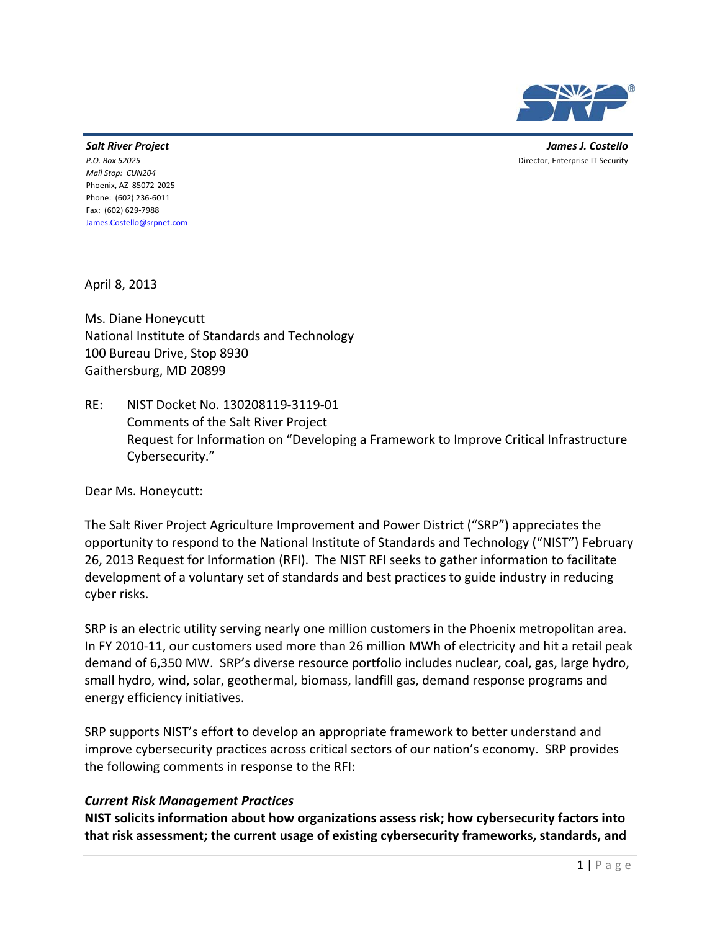

 *Salt River Project James J. Costello* **James J. Costello** *P.O. Box 52025* Director, Enterprise IT Security

P.O. Box 52025  *Mail Stop: CUN204* Phoenix, AZ 85072‐2025 Phone: (602) 236‐6011 Fax: (602) 629‐7988 James.Costello@srpnet.com

April 8, 2013

 Ms. Diane Honeycutt National Institute of Standards and Technology 100 Bureau Drive, Stop 8930 Gaithersburg, MD 20899

 RE: NIST Docket No. 130208119‐3119‐01 Comments of the Salt River Project Request for Information on "Developing a Framework to Improve Critical Infrastructure Cybersecurity."

Dear Ms. Honeycutt:

 The Salt River Project Agriculture Improvement and Power District ("SRP") appreciates the opportunity to respond to the National Institute of Standards and Technology ("NIST") February 26, 2013 Request for Information (RFI). The NIST RFI seeks to gather information to facilitate development of a voluntary set of standards and best practices to guide industry in reducing cyber risks.

 SRP is an electric utility serving nearly one million customers in the Phoenix metropolitan area. In FY 2010‐11, our customers used more than 26 million MWh of electricity and hit a retail peak demand of 6,350 MW. SRP's diverse resource portfolio includes nuclear, coal, gas, large hydro, small hydro, wind, solar, geothermal, biomass, landfill gas, demand response programs and energy efficiency initiatives.

 SRP supports NIST's effort to develop an appropriate framework to better understand and improve cybersecurity practices across critical sectors of our nation's economy. SRP provides the following comments in response to the RFI:

#### *Current Risk Management Practices*

 **NIST solicits information about how organizations assess risk; how cybersecurity factors into that risk assessment; the current usage of existing cybersecurity frameworks, standards, and**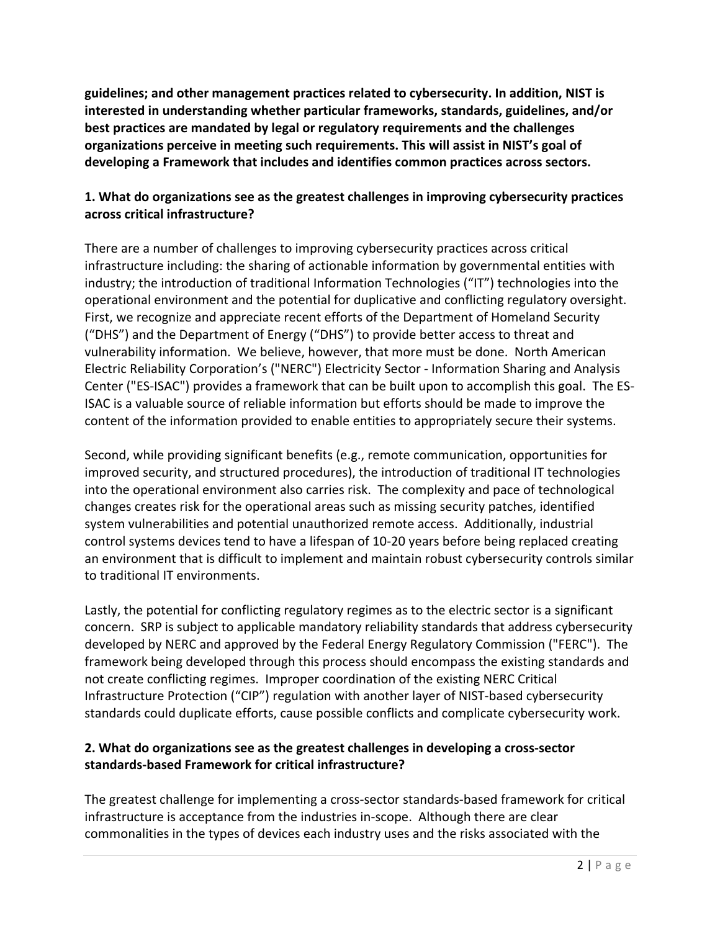**guidelines; and other management practices related to cybersecurity. In addition, NIST is interested in understanding whether particular frameworks, standards, guidelines, and/or best practices are mandated by legal or regulatory requirements and the challenges organizations perceive in meeting such requirements. This will assist in NIST's goal of developing a Framework that includes and identifies common practices across sectors.**

# 1. What do organizations see as the greatest challenges in improving cybersecurity practices  **across critical infrastructure?**

 There are a number of challenges to improving cybersecurity practices across critical infrastructure including: the sharing of actionable information by governmental entities with industry; the introduction of traditional Information Technologies ("IT") technologies into the operational environment and the potential for duplicative and conflicting regulatory oversight. First, we recognize and appreciate recent efforts of the Department of Homeland Security ("DHS") and the Department of Energy ("DHS") to provide better access to threat and vulnerability information. We believe, however, that more must be done. North American Electric Reliability Corporation's ("NERC") Electricity Sector ‐ Information Sharing and Analysis Center ("ES‐ISAC") provides a framework that can be built upon to accomplish this goal. The ES‐ ISAC is a valuable source of reliable information but efforts should be made to improve the content of the information provided to enable entities to appropriately secure their systems.

 Second, while providing significant benefits (e.g., remote communication, opportunities for improved security, and structured procedures), the introduction of traditional IT technologies into the operational environment also carries risk. The complexity and pace of technological changes creates risk for the operational areas such as missing security patches, identified system vulnerabilities and potential unauthorized remote access. Additionally, industrial control systems devices tend to have a lifespan of 10‐20 years before being replaced creating an environment that is difficult to implement and maintain robust cybersecurity controls similar to traditional IT environments.

 Lastly, the potential for conflicting regulatory regimes as to the electric sector is a significant concern. SRP is subject to applicable mandatory reliability standards that address cybersecurity developed by NERC and approved by the Federal Energy Regulatory Commission ("FERC"). The framework being developed through this process should encompass the existing standards and not create conflicting regimes. Improper coordination of the existing NERC Critical Infrastructure Protection ("CIP") regulation with another layer of NIST‐based cybersecurity standards could duplicate efforts, cause possible conflicts and complicate cybersecurity work.

# 2. What do organizations see as the greatest challenges in developing a cross-sector  **standards‐based Framework for critical infrastructure?**

 The greatest challenge for implementing a cross‐sector standards‐based framework for critical infrastructure is acceptance from the industries in‐scope. Although there are clear commonalities in the types of devices each industry uses and the risks associated with the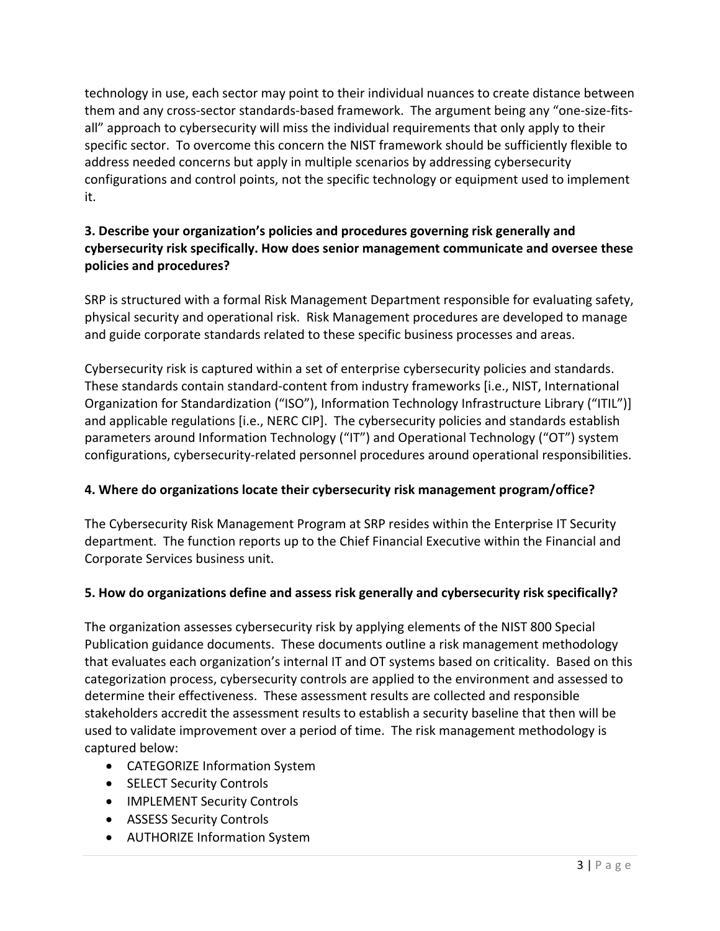technology in use, each sector may point to their individual nuances to create distance between them and any cross‐sector standards‐based framework. The argument being any "one‐size‐fits‐ all" approach to cybersecurity will miss the individual requirements that only apply to their specific sector. To overcome this concern the NIST framework should be sufficiently flexible to address needed concerns but apply in multiple scenarios by addressing cybersecurity configurations and control points, not the specific technology or equipment used to implement it.

# **3. Describe your organization's policies and procedures governing risk generally and cybersecurity risk specifically. How does senior management communicate and oversee these policies and procedures?**

 SRP is structured with a formal Risk Management Department responsible for evaluating safety, physical security and operational risk. Risk Management procedures are developed to manage and guide corporate standards related to these specific business processes and areas.

 Cybersecurity risk is captured within a set of enterprise cybersecurity policies and standards. These standards contain standard‐content from industry frameworks [i.e., NIST, International Organization for Standardization ("ISO"), Information Technology Infrastructure Library ("ITIL")] and applicable regulations [i.e., NERC CIP]. The cybersecurity policies and standards establish parameters around Information Technology ("IT") and Operational Technology ("OT") system configurations, cybersecurity‐related personnel procedures around operational responsibilities.

# **4. Where do organizations locate their cybersecurity risk management program/office?**

 The Cybersecurity Risk Management Program at SRP resides within the Enterprise IT Security department. The function reports up to the Chief Financial Executive within the Financial and Corporate Services business unit.

#### 5. How do organizations define and assess risk generally and cybersecurity risk specifically?

 The organization assesses cybersecurity risk by applying elements of the NIST 800 Special Publication guidance documents. These documents outline a risk management methodology that evaluates each organization's internal IT and OT systems based on criticality. Based on this categorization process, cybersecurity controls are applied to the environment and assessed to determine their effectiveness. These assessment results are collected and responsible stakeholders accredit the assessment results to establish a security baseline that then will be used to validate improvement over a period of time. The risk management methodology is captured below:

- CATEGORIZE Information System
- SELECT Security Controls
- IMPLEMENT Security Controls
- ASSESS Security Controls
- AUTHORIZE Information System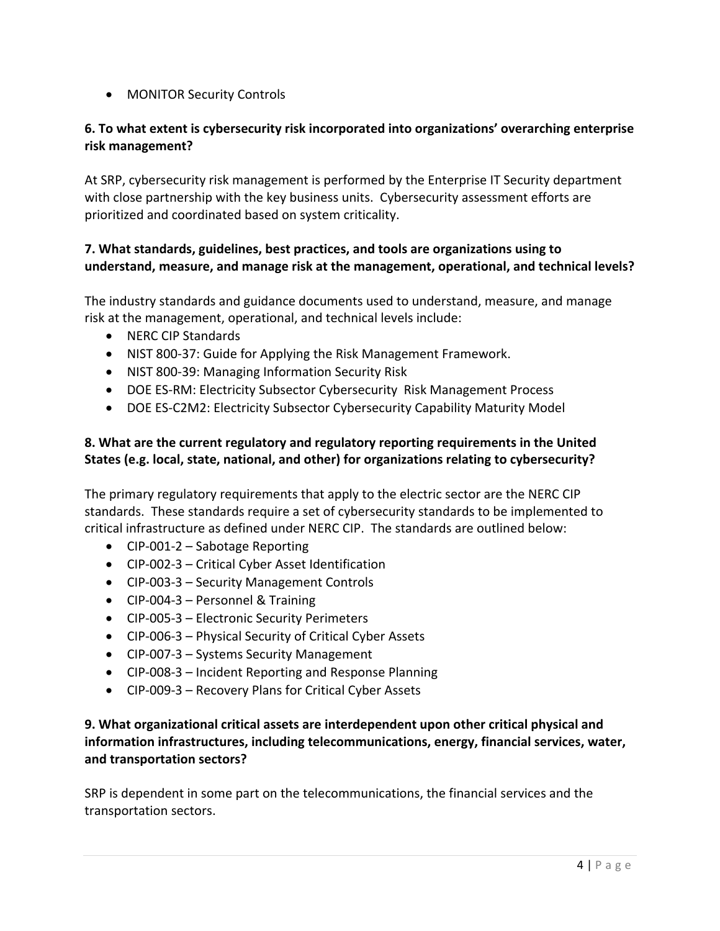• MONITOR Security Controls

# 6. To what extent is cybersecurity risk incorporated into organizations' overarching enterprise **risk management?**

 At SRP, cybersecurity risk management is performed by the Enterprise IT Security department with close partnership with the key business units. Cybersecurity assessment efforts are prioritized and coordinated based on system criticality.

# **7. What standards, guidelines, best practices, and tools are organizations using to understand, measure, and manage risk at the management, operational, and technical levels?**

 The industry standards and guidance documents used to understand, measure, and manage risk at the management, operational, and technical levels include:

- NERC CIP Standards
- NIST 800‐37: Guide for Applying the Risk Management Framework.
- NIST 800‐39: Managing Information Security Risk
- DOE ES‐RM: Electricity Subsector Cybersecurity Risk Management Process
- DOE ES‐C2M2: Electricity Subsector Cybersecurity Capability Maturity Model

# **8. What are the current regulatory and regulatory reporting requirements in the United States (e.g. local, state, national, and other) for organizations relating to cybersecurity?**

 The primary regulatory requirements that apply to the electric sector are the NERC CIP standards. These standards require a set of cybersecurity standards to be implemented to critical infrastructure as defined under NERC CIP. The standards are outlined below:

- CIP‐001‐2 Sabotage Reporting
- CIP‐002‐3 Critical Cyber Asset Identification
- CIP‐003‐3 Security Management Controls
- CIP‐004‐3 Personnel & Training
- CIP‐005‐3 Electronic Security Perimeters
- CIP‐006‐3 Physical Security of Critical Cyber Assets
- CIP‐007‐3 Systems Security Management
- CIP‐008‐3 Incident Reporting and Response Planning
- CIP‐009‐3 Recovery Plans for Critical Cyber Assets

#### **9. What organizational critical assets are interdependent upon other critical physical and information infrastructures, including telecommunications, energy, financial services, water, and transportation sectors?**

 SRP is dependent in some part on the telecommunications, the financial services and the transportation sectors.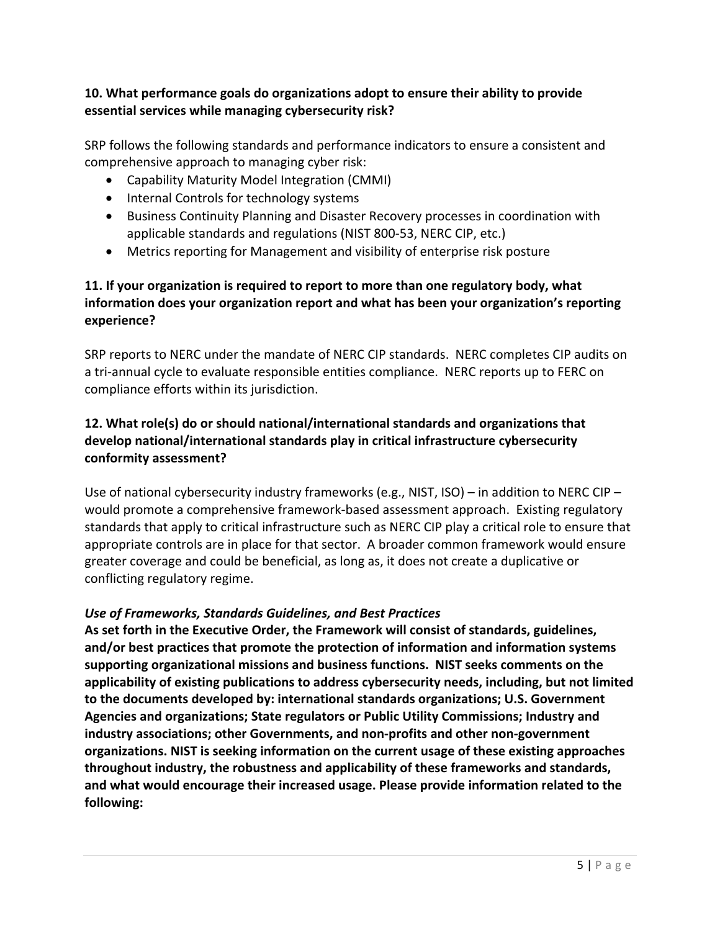# **10. What performance goals do organizations adopt to ensure their ability to provide essential services while managing cybersecurity risk?**

 SRP follows the following standards and performance indicators to ensure a consistent and comprehensive approach to managing cyber risk:

- • Capability Maturity Model Integration (CMMI)
- Internal Controls for technology systems
- Business Continuity Planning and Disaster Recovery processes in coordination with applicable standards and regulations (NIST 800‐53, NERC CIP, etc.)
- Metrics reporting for Management and visibility of enterprise risk posture

# 11. If your organization is required to report to more than one regulatory body, what  **information does your organization report and what has been your organization's reporting experience?**

 SRP reports to NERC under the mandate of NERC CIP standards. NERC completes CIP audits on a tri‐annual cycle to evaluate responsible entities compliance. NERC reports up to FERC on compliance efforts within its jurisdiction.

## **12. What role(s) do or should national/international standards and organizations that develop national/international standards play in critical infrastructure cybersecurity conformity assessment?**

 Use of national cybersecurity industry frameworks (e.g., NIST, ISO) – in addition to NERC CIP – would promote a comprehensive framework‐based assessment approach. Existing regulatory standards that apply to critical infrastructure such as NERC CIP play a critical role to ensure that appropriate controls are in place for that sector. A broader common framework would ensure greater coverage and could be beneficial, as long as, it does not create a duplicative or conflicting regulatory regime.

#### *Use of Frameworks, Standards Guidelines, and Best Practices*

 **As set forth in the Executive Order, the Framework will consist of standards, guidelines, and/or best practices that promote the protection of information and information systems supporting organizational missions and business functions. NIST seeks comments on the** applicability of existing publications to address cybersecurity needs, including, but not limited  **to the documents developed by: international standards organizations; U.S. Government Agencies and organizations; State regulators or Public Utility Commissions; Industry and industry associations; other Governments, and non‐profits and other non‐government organizations. NIST is seeking information on the current usage of these existing approaches throughout industry, the robustness and applicability of these frameworks and standards, and what would encourage their increased usage. Please provide information related to the following:**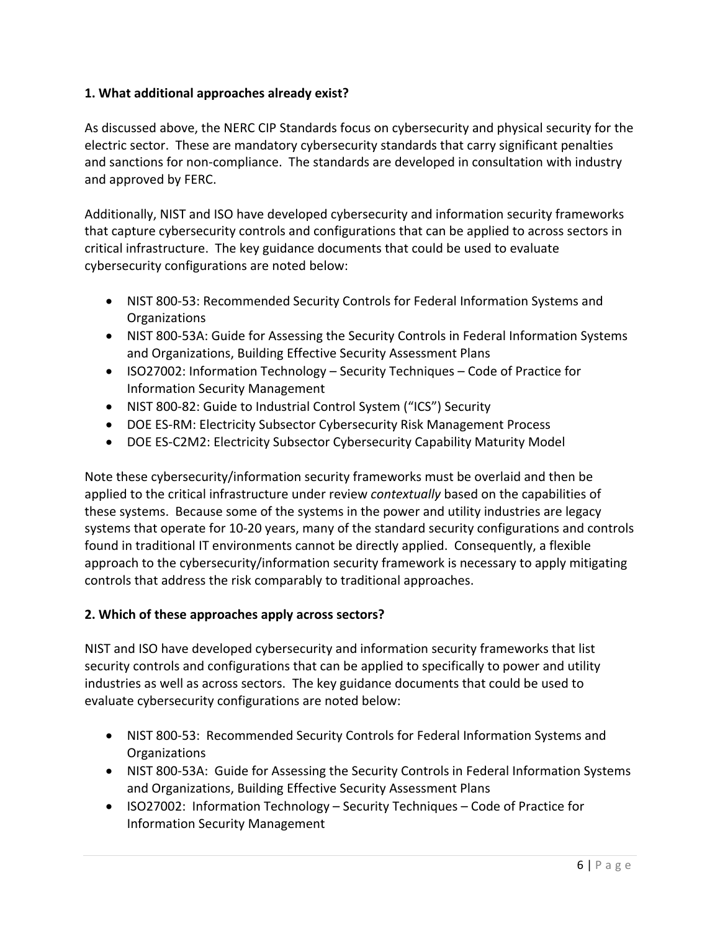# **1. What additional approaches already exist?**

 As discussed above, the NERC CIP Standards focus on cybersecurity and physical security for the electric sector. These are mandatory cybersecurity standards that carry significant penalties and sanctions for non‐compliance. The standards are developed in consultation with industry and approved by FERC.

 Additionally, NIST and ISO have developed cybersecurity and information security frameworks that capture cybersecurity controls and configurations that can be applied to across sectors in critical infrastructure. The key guidance documents that could be used to evaluate cybersecurity configurations are noted below:

- NIST 800-53: Recommended Security Controls for Federal Information Systems and Organizations
- NIST 800-53A: Guide for Assessing the Security Controls in Federal Information Systems and Organizations, Building Effective Security Assessment Plans
- ISO27002: Information Technology Security Techniques Code of Practice for Information Security Management
- NIST 800-82: Guide to Industrial Control System ("ICS") Security
- DOE ES-RM: Electricity Subsector Cybersecurity Risk Management Process
- DOE ES-C2M2: Electricity Subsector Cybersecurity Capability Maturity Model

 Note these cybersecurity/information security frameworks must be overlaid and then be applied to the critical infrastructure under review *contextually* based on the capabilities of these systems. Because some of the systems in the power and utility industries are legacy systems that operate for 10‐20 years, many of the standard security configurations and controls found in traditional IT environments cannot be directly applied. Consequently, a flexible approach to the cybersecurity/information security framework is necessary to apply mitigating controls that address the risk comparably to traditional approaches.

# **2. Which of these approaches apply across sectors?**

 NIST and ISO have developed cybersecurity and information security frameworks that list security controls and configurations that can be applied to specifically to power and utility industries as well as across sectors. The key guidance documents that could be used to evaluate cybersecurity configurations are noted below:

- NIST 800-53: Recommended Security Controls for Federal Information Systems and Organizations
- NIST 800-53A: Guide for Assessing the Security Controls in Federal Information Systems and Organizations, Building Effective Security Assessment Plans
- ISO27002: Information Technology Security Techniques Code of Practice for Information Security Management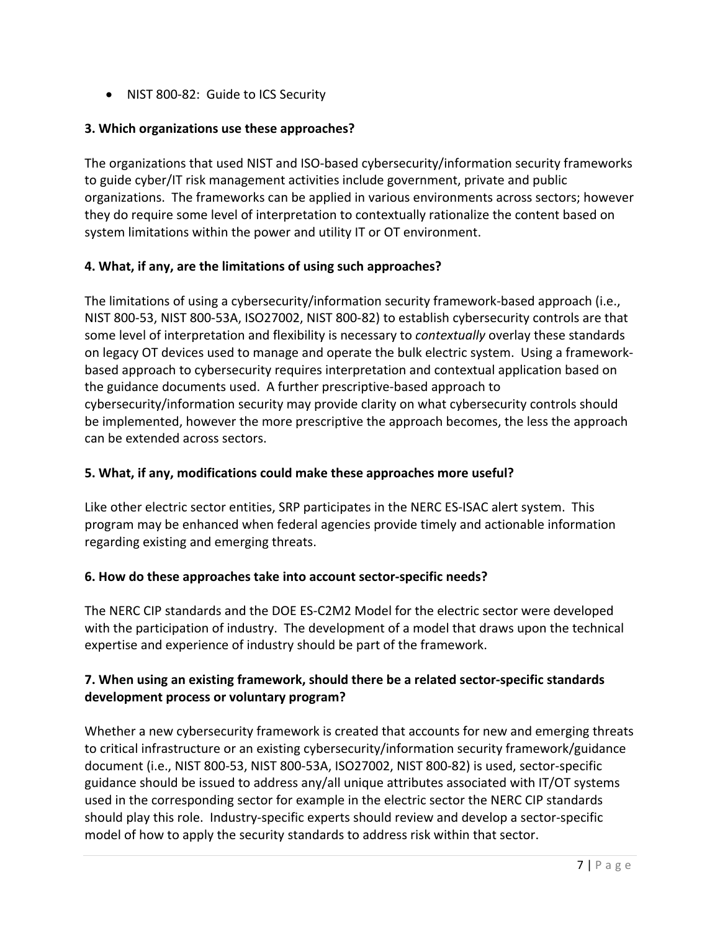• NIST 800‐82: Guide to ICS Security

#### **3. Which organizations use these approaches?**

 The organizations that used NIST and ISO‐based cybersecurity/information security frameworks to guide cyber/IT risk management activities include government, private and public organizations. The frameworks can be applied in various environments across sectors; however they do require some level of interpretation to contextually rationalize the content based on system limitations within the power and utility IT or OT environment.

#### **4. What, if any, are the limitations of using such approaches?**

 The limitations of using a cybersecurity/information security framework‐based approach (i.e., NIST 800‐53, NIST 800‐53A, ISO27002, NIST 800‐82) to establish cybersecurity controls are that some level of interpretation and flexibility is necessary to *contextually* overlay these standards on legacy OT devices used to manage and operate the bulk electric system. Using a framework‐ based approach to cybersecurity requires interpretation and contextual application based on the guidance documents used. A further prescriptive‐based approach to cybersecurity/information security may provide clarity on what cybersecurity controls should be implemented, however the more prescriptive the approach becomes, the less the approach can be extended across sectors.

#### **5. What, if any, modifications could make these approaches more useful?**

 Like other electric sector entities, SRP participates in the NERC ES‐ISAC alert system. This program may be enhanced when federal agencies provide timely and actionable information regarding existing and emerging threats.

## **6. How do these approaches take into account sector‐specific needs?**

 The NERC CIP standards and the DOE ES‐C2M2 Model for the electric sector were developed with the participation of industry. The development of a model that draws upon the technical expertise and experience of industry should be part of the framework.

# 7. When using an existing framework, should there be a related sector-specific standards  **development process or voluntary program?**

 Whether a new cybersecurity framework is created that accounts for new and emerging threats to critical infrastructure or an existing cybersecurity/information security framework/guidance document (i.e., NIST 800‐53, NIST 800‐53A, ISO27002, NIST 800‐82) is used, sector‐specific guidance should be issued to address any/all unique attributes associated with IT/OT systems used in the corresponding sector for example in the electric sector the NERC CIP standards should play this role. Industry‐specific experts should review and develop a sector‐specific model of how to apply the security standards to address risk within that sector.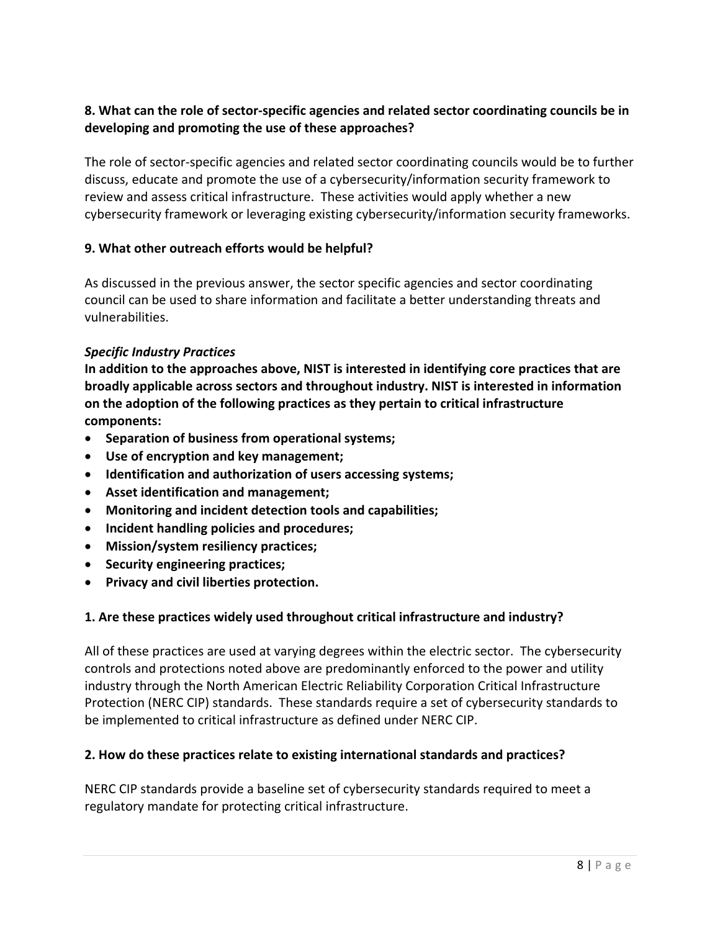## 8. What can the role of sector-specific agencies and related sector coordinating councils be in  **developing and promoting the use of these approaches?**

 The role of sector‐specific agencies and related sector coordinating councils would be to further discuss, educate and promote the use of a cybersecurity/information security framework to review and assess critical infrastructure. These activities would apply whether a new cybersecurity framework or leveraging existing cybersecurity/information security frameworks.

## **9. What other outreach efforts would be helpful?**

 As discussed in the previous answer, the sector specific agencies and sector coordinating council can be used to share information and facilitate a better understanding threats and vulnerabilities.

#### *Specific Industry Practices*

In addition to the approaches above, NIST is interested in identifying core practices that are  **broadly applicable across sectors and throughout industry. NIST is interested in information on the adoption of the following practices as they pertain to critical infrastructure components:**

- **Separation of business from operational systems;**
- **Use of encryption and key management;**
- **Identification and authorization of users accessing systems;**
- **Asset identification and management;**
- **Monitoring and incident detection tools and capabilities;**
- **Incident handling policies and procedures;**
- **Mission/system resiliency practices;**
- **Security engineering practices;**
- **Privacy and civil liberties protection.**

# **1. Are these practices widely used throughout critical infrastructure and industry?**

 All of these practices are used at varying degrees within the electric sector. The cybersecurity controls and protections noted above are predominantly enforced to the power and utility industry through the North American Electric Reliability Corporation Critical Infrastructure Protection (NERC CIP) standards. These standards require a set of cybersecurity standards to be implemented to critical infrastructure as defined under NERC CIP.

#### **2. How do these practices relate to existing international standards and practices?**

 NERC CIP standards provide a baseline set of cybersecurity standards required to meet a regulatory mandate for protecting critical infrastructure.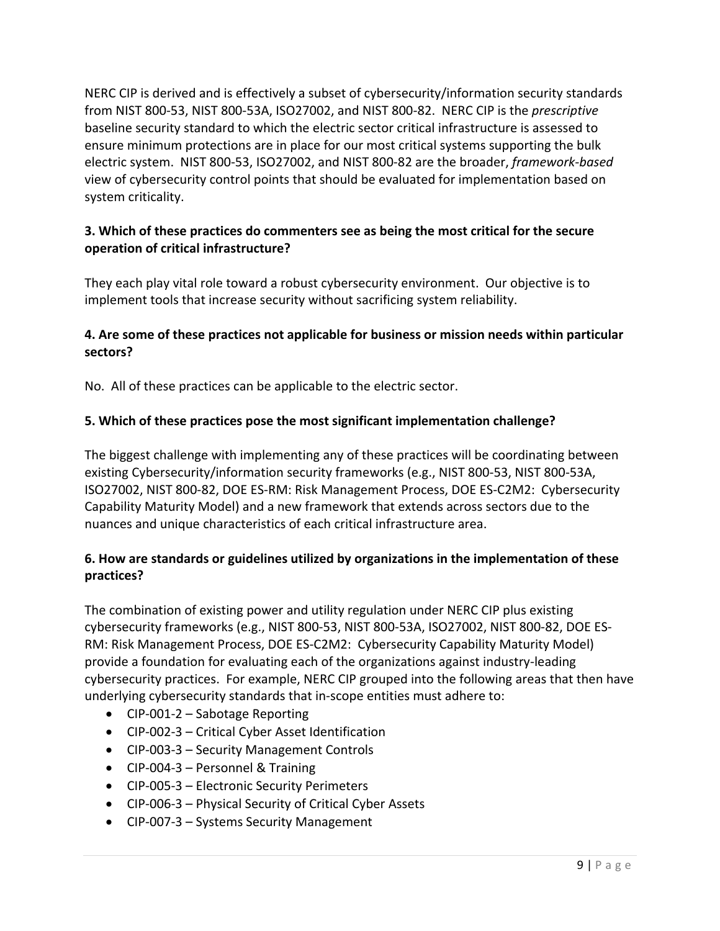NERC CIP is derived and is effectively a subset of cybersecurity/information security standards from NIST 800‐53, NIST 800‐53A, ISO27002, and NIST 800‐82. NERC CIP is the *prescriptive* baseline security standard to which the electric sector critical infrastructure is assessed to ensure minimum protections are in place for our most critical systems supporting the bulk electric system. NIST 800‐53, ISO27002, and NIST 800‐82 are the broader, *framework‐based* view of cybersecurity control points that should be evaluated for implementation based on system criticality.

# 3. Which of these practices do commenters see as being the most critical for the secure  **operation of critical infrastructure?**

 They each play vital role toward a robust cybersecurity environment. Our objective is to implement tools that increase security without sacrificing system reliability.

# 4. Are some of these practices not applicable for business or mission needs within particular **sectors?**

No. All of these practices can be applicable to the electric sector.

## **5. Which of these practices pose the most significant implementation challenge?**

 The biggest challenge with implementing any of these practices will be coordinating between existing Cybersecurity/information security frameworks (e.g., NIST 800‐53, NIST 800‐53A, ISO27002, NIST 800‐82, DOE ES‐RM: Risk Management Process, DOE ES‐C2M2: Cybersecurity Capability Maturity Model) and a new framework that extends across sectors due to the nuances and unique characteristics of each critical infrastructure area.

#### 6. How are standards or guidelines utilized by organizations in the implementation of these **practices?**

 The combination of existing power and utility regulation under NERC CIP plus existing cybersecurity frameworks (e.g., NIST 800‐53, NIST 800‐53A, ISO27002, NIST 800‐82, DOE ES‐ RM: Risk Management Process, DOE ES‐C2M2: Cybersecurity Capability Maturity Model) provide a foundation for evaluating each of the organizations against industry‐leading cybersecurity practices. For example, NERC CIP grouped into the following areas that then have underlying cybersecurity standards that in‐scope entities must adhere to:

- CIP‐001‐2 Sabotage Reporting
- CIP‐002‐3 Critical Cyber Asset Identification
- CIP‐003‐3 Security Management Controls
- CIP‐004‐3 Personnel & Training
- CIP‐005‐3 Electronic Security Perimeters
- CIP‐006‐3 Physical Security of Critical Cyber Assets
- CIP‐007‐3 Systems Security Management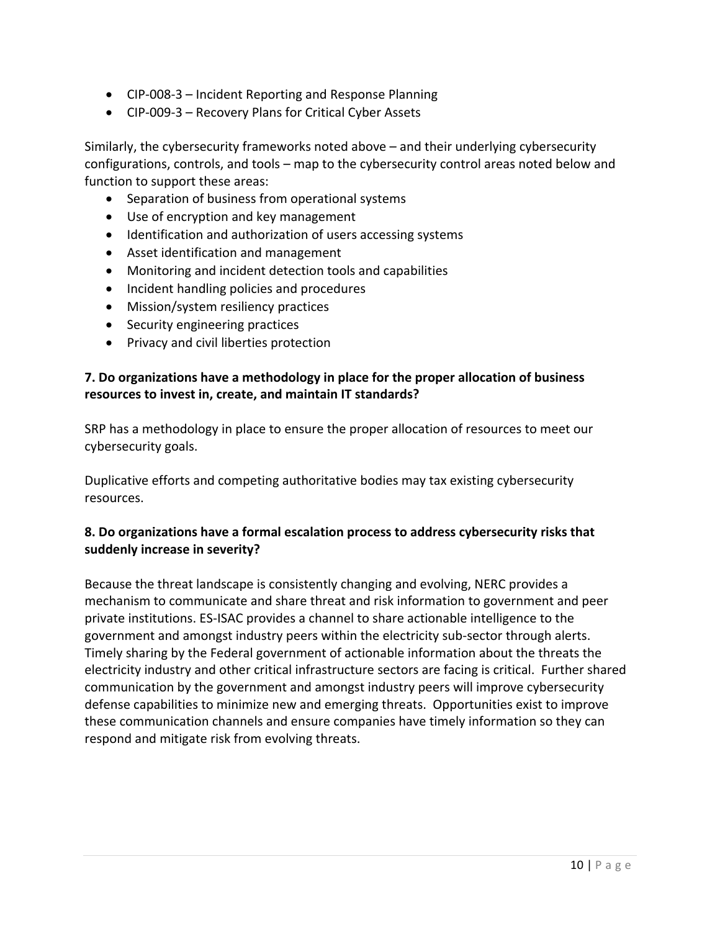- CIP‐008‐3 Incident Reporting and Response Planning
- CIP‐009‐3 Recovery Plans for Critical Cyber Assets

 Similarly, the cybersecurity frameworks noted above – and their underlying cybersecurity configurations, controls, and tools – map to the cybersecurity control areas noted below and function to support these areas:

- Separation of business from operational systems
- Use of encryption and key management
- Identification and authorization of users accessing systems
- Asset identification and management
- Monitoring and incident detection tools and capabilities
- Incident handling policies and procedures
- Mission/system resiliency practices
- Security engineering practices
- Privacy and civil liberties protection

#### 7. Do organizations have a methodology in place for the proper allocation of business  **resources to invest in, create, and maintain IT standards?**

 SRP has a methodology in place to ensure the proper allocation of resources to meet our cybersecurity goals.

 Duplicative efforts and competing authoritative bodies may tax existing cybersecurity resources.

# 8. Do organizations have a formal escalation process to address cybersecurity risks that  **suddenly increase in severity?**

 Because the threat landscape is consistently changing and evolving, NERC provides a mechanism to communicate and share threat and risk information to government and peer private institutions. ES‐ISAC provides a channel to share actionable intelligence to the government and amongst industry peers within the electricity sub‐sector through alerts. Timely sharing by the Federal government of actionable information about the threats the electricity industry and other critical infrastructure sectors are facing is critical. Further shared communication by the government and amongst industry peers will improve cybersecurity defense capabilities to minimize new and emerging threats. Opportunities exist to improve these communication channels and ensure companies have timely information so they can respond and mitigate risk from evolving threats.